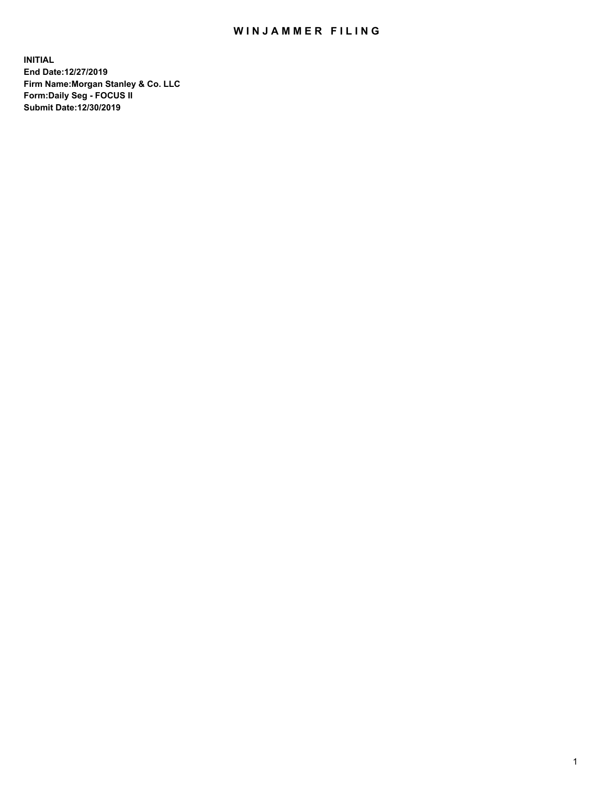## WIN JAMMER FILING

**INITIAL End Date:12/27/2019 Firm Name:Morgan Stanley & Co. LLC Form:Daily Seg - FOCUS II Submit Date:12/30/2019**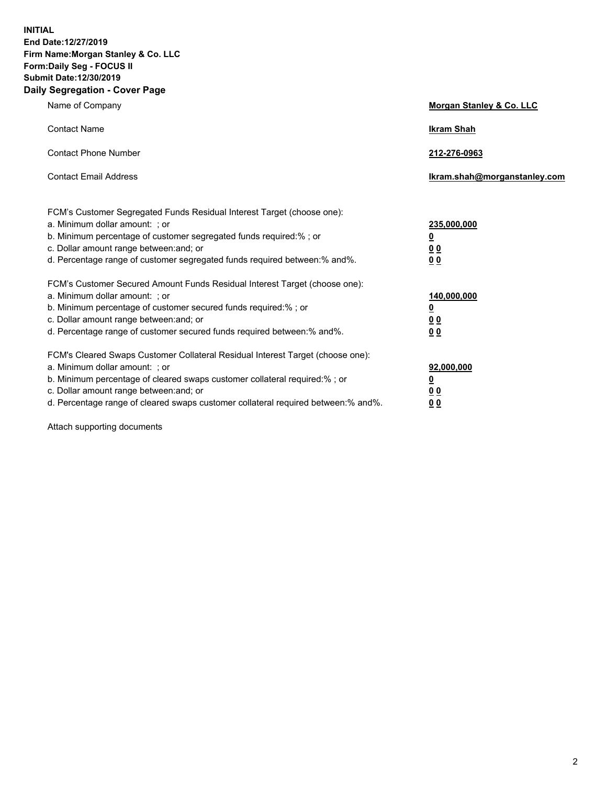**INITIAL End Date:12/27/2019 Firm Name:Morgan Stanley & Co. LLC Form:Daily Seg - FOCUS II Submit Date:12/30/2019 Daily Segregation - Cover Page**

| Name of Company                                                                                                                                                                                                                                                                                                                | Morgan Stanley & Co. LLC                   |
|--------------------------------------------------------------------------------------------------------------------------------------------------------------------------------------------------------------------------------------------------------------------------------------------------------------------------------|--------------------------------------------|
| <b>Contact Name</b>                                                                                                                                                                                                                                                                                                            | <b>Ikram Shah</b>                          |
| <b>Contact Phone Number</b>                                                                                                                                                                                                                                                                                                    | 212-276-0963                               |
| <b>Contact Email Address</b>                                                                                                                                                                                                                                                                                                   | Ikram.shah@morganstanley.com               |
| FCM's Customer Segregated Funds Residual Interest Target (choose one):<br>a. Minimum dollar amount: ; or<br>b. Minimum percentage of customer segregated funds required:% ; or<br>c. Dollar amount range between: and; or<br>d. Percentage range of customer segregated funds required between:% and%.                         | 235,000,000<br><u>0</u><br><u>00</u><br>00 |
| FCM's Customer Secured Amount Funds Residual Interest Target (choose one):<br>a. Minimum dollar amount: ; or<br>b. Minimum percentage of customer secured funds required:%; or<br>c. Dollar amount range between: and; or<br>d. Percentage range of customer secured funds required between:% and%.                            | 140,000,000<br><u>0</u><br><u>00</u><br>00 |
| FCM's Cleared Swaps Customer Collateral Residual Interest Target (choose one):<br>a. Minimum dollar amount: ; or<br>b. Minimum percentage of cleared swaps customer collateral required:% ; or<br>c. Dollar amount range between: and; or<br>d. Percentage range of cleared swaps customer collateral required between:% and%. | 92,000,000<br><u>0</u><br><u>00</u><br>00  |

Attach supporting documents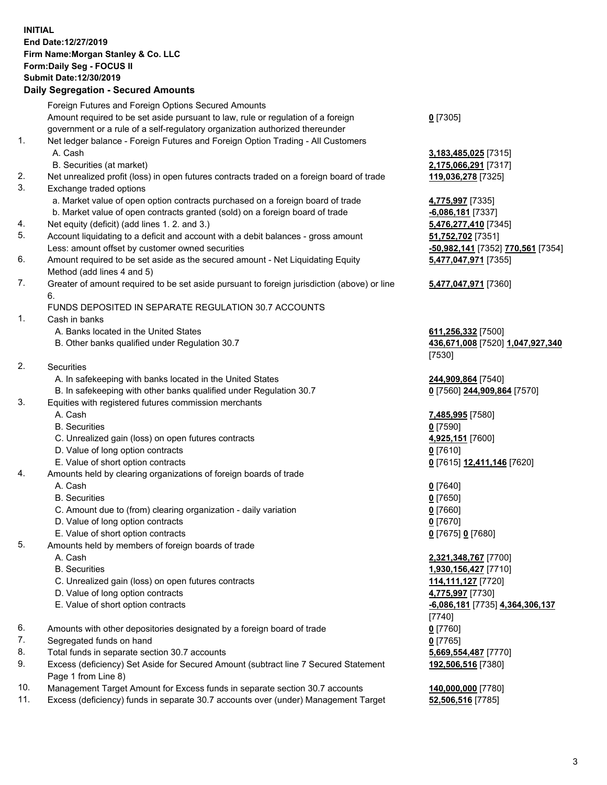## **INITIAL End Date:12/27/2019 Firm Name:Morgan Stanley & Co. LLC Form:Daily Seg - FOCUS II Submit Date:12/30/2019**

## **Daily Segregation - Secured Amounts**

|          | Foreign Futures and Foreign Options Secured Amounts                                                                    |                      |
|----------|------------------------------------------------------------------------------------------------------------------------|----------------------|
|          | Amount required to be set aside pursuant to law, rule or regulation of a foreign                                       | $0$ [7305]           |
|          | government or a rule of a self-regulatory organization authorized thereunder                                           |                      |
| 1.       | Net ledger balance - Foreign Futures and Foreign Option Trading - All Customers                                        |                      |
|          | A. Cash                                                                                                                | 3,183,48             |
| 2.       | B. Securities (at market)<br>Net unrealized profit (loss) in open futures contracts traded on a foreign board of trade | 2,175,06<br>119,036  |
| 3.       | Exchange traded options                                                                                                |                      |
|          | a. Market value of open option contracts purchased on a foreign board of trade                                         | 4,775,99             |
|          | b. Market value of open contracts granted (sold) on a foreign board of trade                                           | $-6,086,1$           |
| 4.       | Net equity (deficit) (add lines 1. 2. and 3.)                                                                          | 5,476,27             |
| 5.       | Account liquidating to a deficit and account with a debit balances - gross amount                                      | 51,752,7             |
|          | Less: amount offset by customer owned securities                                                                       | <u>-50,982,</u>      |
| 6.       | Amount required to be set aside as the secured amount - Net Liquidating Equity                                         | 5,477,04             |
|          | Method (add lines 4 and 5)                                                                                             |                      |
| 7.       | Greater of amount required to be set aside pursuant to foreign jurisdiction (above) or line                            | 5,477,04             |
|          | 6.                                                                                                                     |                      |
| 1.       | FUNDS DEPOSITED IN SEPARATE REGULATION 30.7 ACCOUNTS                                                                   |                      |
|          | Cash in banks<br>A. Banks located in the United States                                                                 | 611,256              |
|          | B. Other banks qualified under Regulation 30.7                                                                         | 436,671              |
|          |                                                                                                                        | $[7530]$             |
| 2.       | Securities                                                                                                             |                      |
|          | A. In safekeeping with banks located in the United States                                                              | 244,909              |
|          | B. In safekeeping with other banks qualified under Regulation 30.7                                                     | $0$ [7560]           |
| 3.       | Equities with registered futures commission merchants                                                                  |                      |
|          | A. Cash                                                                                                                | 7,485,99             |
|          | <b>B.</b> Securities                                                                                                   | $0$ [7590]           |
|          | C. Unrealized gain (loss) on open futures contracts                                                                    | 4,925,15             |
|          | D. Value of long option contracts                                                                                      | $0$ [7610]           |
| 4.       | E. Value of short option contracts                                                                                     | $0$ [7615]           |
|          | Amounts held by clearing organizations of foreign boards of trade<br>A. Cash                                           | $0$ [7640]           |
|          | <b>B.</b> Securities                                                                                                   | <u>0</u> [7650]      |
|          | C. Amount due to (from) clearing organization - daily variation                                                        | 0 [7660]             |
|          | D. Value of long option contracts                                                                                      | 0 [7670]             |
|          | E. Value of short option contracts                                                                                     | 0 <sup>[7675]</sup>  |
| 5.       | Amounts held by members of foreign boards of trade                                                                     |                      |
|          | A. Cash                                                                                                                | <u>2,321,34</u>      |
|          | <b>B.</b> Securities                                                                                                   | 1,930,15             |
|          | C. Unrealized gain (loss) on open futures contracts                                                                    | 114,111              |
|          | D. Value of long option contracts                                                                                      | 4,775,99             |
|          | E. Value of short option contracts                                                                                     | $-6,086,1$           |
|          |                                                                                                                        | $\left[ 7740\right]$ |
| 6.       | Amounts with other depositories designated by a foreign board of trade                                                 | 0 [7760]             |
| 7.<br>8. | Segregated funds on hand<br>Total funds in separate section 30.7 accounts                                              | 0 [7765]<br>5,669,55 |
| 9.       | Excess (deficiency) Set Aside for Secured Amount (subtract line 7 Secured Statement                                    | 192,506              |
|          | Page 1 from Line 8)                                                                                                    |                      |

- 10. Management Target Amount for Excess funds in separate section 30.7 accounts **140,000,000** [7780]
- 11. Excess (deficiency) funds in separate 30.7 accounts over (under) Management Target **52,506,516** [7785]

 A. Cash **3,183,485,025** [7315] B. Securities (at market) **2,175,066,291** [7317] 036,278 [7325]

a. 997 [7335] <mark>86,181</mark> [7337] 6, 277, 410 [7345] 52,702 [7351] Less: amount offset by customer owned securities **-50,982,141** [7352] **770,561** [7354] **5,477,047,971** [7355]

## **5,477,047,971** [7360]

A. **256,332** [7500] B. Other banks qualified under Regulation 30.7 **436,671,008** [7520] **1,047,927,340**  $[0]$ 

 A. In safekeeping with banks located in the United States **244,909,864** [7540]  $[560]$  244,909,864 [7570]

 A. Cash **7,485,995** [7580] **5,151** [7600] E. Value of short option contracts **0** [7615] **12,411,146** [7620]

E. Value of short option contracts **0** [7675] **0** [7680]

 A. Cash **2,321,348,767** [7700] **0,156,427** [7710] C. Unrealized gain (loss) on open futures contracts **114,111,127** [7720] **5,997** [7730] E. Value of short option contracts **-6,086,181** [7735] **4,364,306,137**  $[0]$ **9,554,487** [7770] **192,506,516** [7380]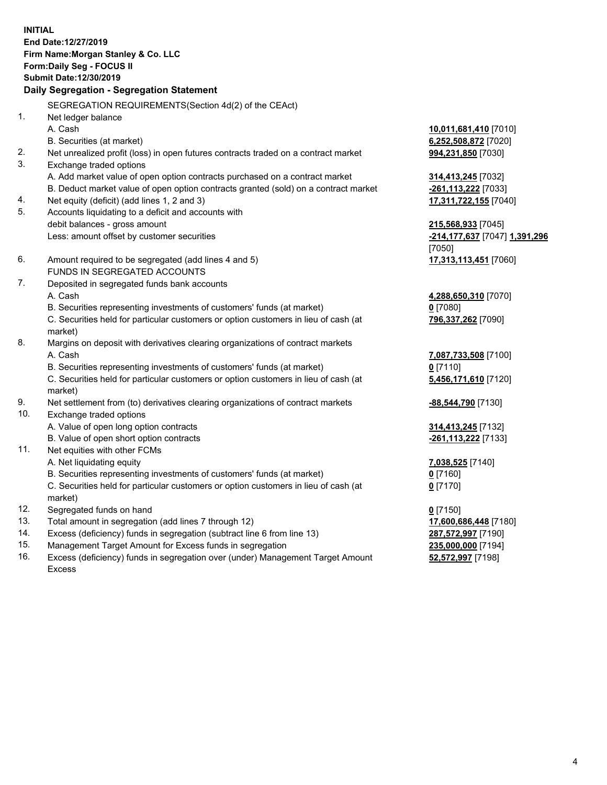**INITIAL End Date:12/27/2019 Firm Name:Morgan Stanley & Co. LLC Form:Daily Seg - FOCUS II Submit Date:12/30/2019 Daily Segregation - Segregation Statement** SEGREGATION REQUIREMENTS(Section 4d(2) of the CEAct) 1. Net ledger balance A. Cash **10,011,681,410** [7010] B. Securities (at market) **6,252,508,872** [7020] 2. Net unrealized profit (loss) in open futures contracts traded on a contract market **994,231,850** [7030] 3. Exchange traded options A. Add market value of open option contracts purchased on a contract market **314,413,245** [7032] B. Deduct market value of open option contracts granted (sold) on a contract market **-261,113,222** [7033] 4. Net equity (deficit) (add lines 1, 2 and 3) **17,311,722,155** [7040] 5. Accounts liquidating to a deficit and accounts with debit balances - gross amount **215,568,933** [7045] Less: amount offset by customer securities **-214,177,637** [7047] **1,391,296** [7050] 6. Amount required to be segregated (add lines 4 and 5) **17,313,113,451** [7060] FUNDS IN SEGREGATED ACCOUNTS 7. Deposited in segregated funds bank accounts A. Cash **4,288,650,310** [7070] B. Securities representing investments of customers' funds (at market) **0** [7080] C. Securities held for particular customers or option customers in lieu of cash (at market) **796,337,262** [7090] 8. Margins on deposit with derivatives clearing organizations of contract markets A. Cash **7,087,733,508** [7100] B. Securities representing investments of customers' funds (at market) **0** [7110] C. Securities held for particular customers or option customers in lieu of cash (at market) **5,456,171,610** [7120] 9. Net settlement from (to) derivatives clearing organizations of contract markets **-88,544,790** [7130] 10. Exchange traded options A. Value of open long option contracts **314,413,245** [7132] B. Value of open short option contracts **-261,113,222** [7133] 11. Net equities with other FCMs A. Net liquidating equity **7,038,525** [7140] B. Securities representing investments of customers' funds (at market) **0** [7160] C. Securities held for particular customers or option customers in lieu of cash (at market) **0** [7170] 12. Segregated funds on hand **0** [7150] 13. Total amount in segregation (add lines 7 through 12) **17,600,686,448** [7180] 14. Excess (deficiency) funds in segregation (subtract line 6 from line 13) **287,572,997** [7190]

- 15. Management Target Amount for Excess funds in segregation **235,000,000** [7194]
- 16. Excess (deficiency) funds in segregation over (under) Management Target Amount Excess

**52,572,997** [7198]